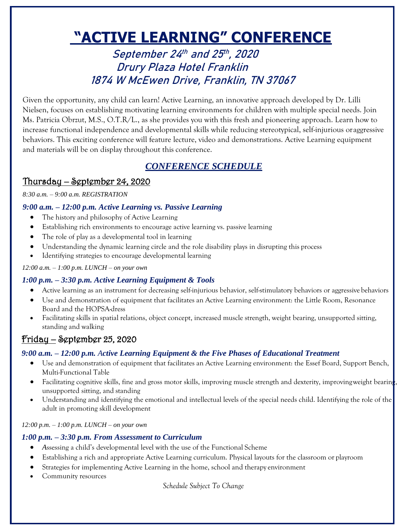# **"ACTIVE LEARNING" CONFERENCE**

September 24th and 25th, 2020 Drury Plaza Hotel Franklin 1874 W McEwen Drive, Franklin, TN 37067

Given the opportunity, any child can learn! Active Learning, an innovative approach developed by Dr. Lilli Nielsen, focuses on establishing motivating learning environments for children with multiple special needs. Join Ms. Patricia Obrzut, M.S., O.T.R/L., as she provides you with this fresh and pioneering approach. Learn how to increase functional independence and developmental skills while reducing stereotypical, self-injurious oraggressive behaviors. This exciting conference will feature lecture, video and demonstrations. Active Learning equipment and materials will be on display throughout this conference.

# *CONFERENCE SCHEDULE*

# Thursday – September 24, 2020

#### *8:30 a.m. – 9:00 a.m. REGISTRATION*

## *9:00 a.m. – 12:00 p.m. Active Learning vs. Passive Learning*

- The history and philosophy of Active Learning
- Establishing rich environments to encourage active learning vs. passive learning
- The role of play as a developmental tool in learning
- Understanding the dynamic learning circle and the role disability plays in disrupting this process
- Identifying strategies to encourage developmental learning

#### *12:00 a.m. – 1:00 p.m. LUNCH – on your own*

# *1:00 p.m. – 3:30 p.m. Active Learning Equipment & Tools*

- Active learning as an instrument for decreasing self-injurious behavior, self-stimulatory behaviors or aggressive behaviors
- Use and demonstration of equipment that facilitates an Active Learning environment: the Little Room, Resonance Board and the HOPSA-dress
- Facilitating skills in spatial relations, object concept, increased muscle strength, weight bearing, unsupported sitting, standing and walking

# Friday – September 25, 2020

# *9:00 a.m. – 12:00 p.m. Active Learning Equipment & the Five Phases of Educational Treatment*

- Use and demonstration of equipment that facilitates an Active Learning environment: the Essef Board, Support Bench, Multi-Functional Table
- Facilitating cognitive skills, fine and gross motor skills, improving muscle strength and dexterity, improvingweight bearing unsupported sitting, and standing
- Understanding and identifying the emotional and intellectual levels of the special needs child. Identifying the role of the adult in promoting skill development

*12:00 p.m. – 1:00 p.m. LUNCH – on your own*

### *1:00 p.m. – 3:30 p.m. From Assessment to Curriculum*

- *A*ssessing a child's developmental level with the use of the Functional Scheme
- Establishing a rich and appropriate Active Learning curriculum. Physical layouts for the classroom or playroom
- Strategies for implementing Active Learning in the home, school and therapy environment
- Community resources

*Schedule Subject To Change*